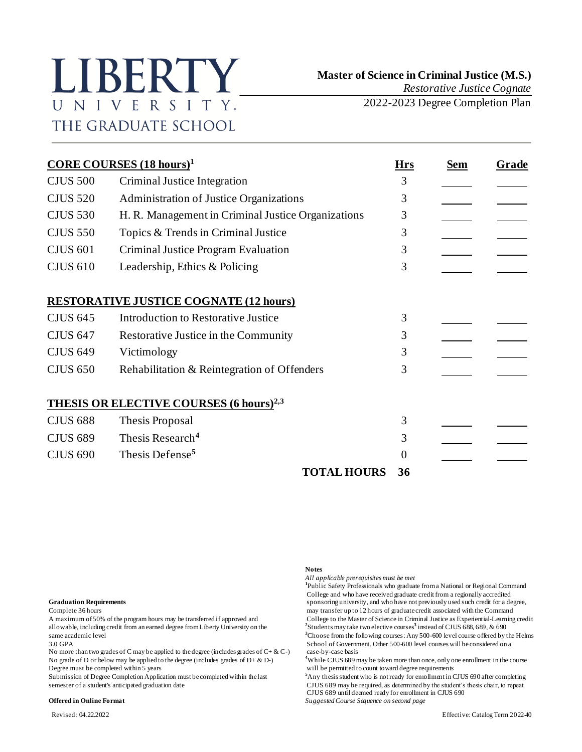# LIBERTY UNIVERSITY. THE GRADUATE SCHOOL

2022-2023 Degree Completion Plan

| <b>CORE COURSES</b> $(18 \text{ hours})^1$ |                                                           |    | <b>Sem</b> | Grade |
|--------------------------------------------|-----------------------------------------------------------|----|------------|-------|
| <b>CJUS 500</b>                            | Criminal Justice Integration                              | 3  |            |       |
| <b>CJUS 520</b>                            | Administration of Justice Organizations                   | 3  |            |       |
| <b>CJUS 530</b>                            | H. R. Management in Criminal Justice Organizations        | 3  |            |       |
| <b>CJUS 550</b>                            | Topics & Trends in Criminal Justice                       | 3  |            |       |
| <b>CJUS 601</b>                            | Criminal Justice Program Evaluation                       | 3  |            |       |
| <b>CJUS 610</b>                            | Leadership, Ethics & Policing                             | 3  |            |       |
|                                            | <b>RESTORATIVE JUSTICE COGNATE (12 hours)</b>             |    |            |       |
| <b>CJUS 645</b>                            | <b>Introduction to Restorative Justice</b>                | 3  |            |       |
| <b>CJUS 647</b>                            | Restorative Justice in the Community                      | 3  |            |       |
| <b>CJUS 649</b>                            | Victimology                                               | 3  |            |       |
| <b>CJUS 650</b>                            | Rehabilitation & Reintegration of Offenders               | 3  |            |       |
|                                            | <b>THESIS OR ELECTIVE COURSES (6 hours)<sup>2,3</sup></b> |    |            |       |
| <b>CJUS 688</b>                            | Thesis Proposal                                           | 3  |            |       |
| <b>CJUS 689</b>                            | Thesis Research <sup>4</sup>                              | 3  |            |       |
| <b>CJUS 690</b>                            | Thesis Defense <sup>5</sup>                               | 0  |            |       |
|                                            | <b>TOTAL HOURS</b>                                        | 36 |            |       |

allowable, including credit from an earned degree from Liberty University on the **<sup>2</sup>**

No more than two grades of C may be applied to the degree (includes grades of  $C + \& C$ -) No grade of D or below may be applied to the degree (includes grades of  $D + \& D$ -) Degree must be completed within 5 years will be permitted to count toward degree requirements

#### **Offered in Online Format** *Suggested Course Sequence on second page*

#### **Notes**

*All applicable prerequisites must be met* **1** Public Safety Professionals who graduate from a National or Regional Command College and who have received graduate credit from a regionally accredited **Graduation Requirements** sponsoring university, and who have not previously used such credit for a degree, Complete 36 hours may transfer up to 12 hours of graduate credit associated with the Command A maximum of 50% of the program hours may be transferred if approved and College to the Master of Science in Criminal Justice as Experiential-Learning credit Students may take two elective courses**<sup>3</sup>** instead of CJUS 688, 689, & 690 same academic level **<sup>3</sup>**Choose from the following courses: Any 500-600 level course offered by the Helms 3.0 GPA<br>No more than two grades of C may be applied to the degree (includes grades of C+ & C-) case-by-case basis

<sup>4</sup>While CJUS 689 may be taken more than once, only one enrollment in the course

Submission of Degree Completion Application must be completed within the last <sup>5</sup>Any thesis student who is not ready for enrollment in CJUS 690 after completing semester of a student's anticipated graduation date CJUS 689 CJUS 689 may be required, as determined by the student's thesis chair, to repeat CJUS 689 until deemed ready for enrollment in CJUS 690